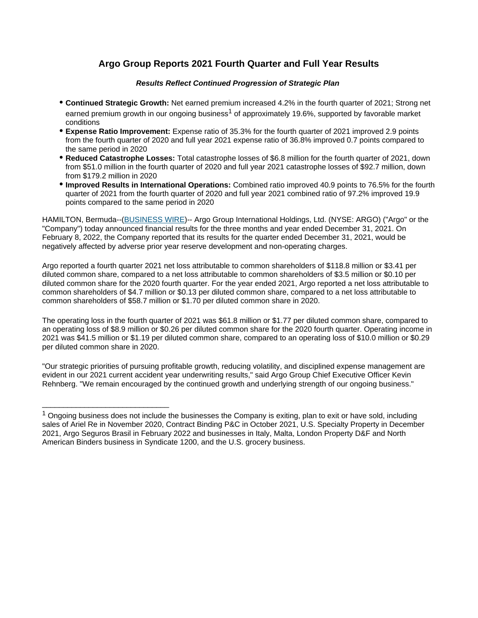# **Argo Group Reports 2021 Fourth Quarter and Full Year Results**

#### **Results Reflect Continued Progression of Strategic Plan**

- **Continued Strategic Growth:** Net earned premium increased 4.2% in the fourth quarter of 2021; Strong net earned premium growth in our ongoing business<sup>1</sup> of approximately 19.6%, supported by favorable market conditions
- **Expense Ratio Improvement:** Expense ratio of 35.3% for the fourth quarter of 2021 improved 2.9 points from the fourth quarter of 2020 and full year 2021 expense ratio of 36.8% improved 0.7 points compared to the same period in 2020
- **Reduced Catastrophe Losses:** Total catastrophe losses of \$6.8 million for the fourth quarter of 2021, down from \$51.0 million in the fourth quarter of 2020 and full year 2021 catastrophe losses of \$92.7 million, down from \$179.2 million in 2020
- **Improved Results in International Operations:** Combined ratio improved 40.9 points to 76.5% for the fourth quarter of 2021 from the fourth quarter of 2020 and full year 2021 combined ratio of 97.2% improved 19.9 points compared to the same period in 2020

HAMILTON, Bermuda--[\(BUSINESS WIRE\)](http://www.businesswire.com)-- Argo Group International Holdings, Ltd. (NYSE: ARGO) ("Argo" or the "Company") today announced financial results for the three months and year ended December 31, 2021. On February 8, 2022, the Company reported that its results for the quarter ended December 31, 2021, would be negatively affected by adverse prior year reserve development and non-operating charges.

Argo reported a fourth quarter 2021 net loss attributable to common shareholders of \$118.8 million or \$3.41 per diluted common share, compared to a net loss attributable to common shareholders of \$3.5 million or \$0.10 per diluted common share for the 2020 fourth quarter. For the year ended 2021, Argo reported a net loss attributable to common shareholders of \$4.7 million or \$0.13 per diluted common share, compared to a net loss attributable to common shareholders of \$58.7 million or \$1.70 per diluted common share in 2020.

The operating loss in the fourth quarter of 2021 was \$61.8 million or \$1.77 per diluted common share, compared to an operating loss of \$8.9 million or \$0.26 per diluted common share for the 2020 fourth quarter. Operating income in 2021 was \$41.5 million or \$1.19 per diluted common share, compared to an operating loss of \$10.0 million or \$0.29 per diluted common share in 2020.

"Our strategic priorities of pursuing profitable growth, reducing volatility, and disciplined expense management are evident in our 2021 current accident year underwriting results," said Argo Group Chief Executive Officer Kevin Rehnberg. "We remain encouraged by the continued growth and underlying strength of our ongoing business."

\_\_\_\_\_\_\_\_\_\_\_\_\_\_\_\_\_\_\_\_\_\_\_\_\_\_\_\_\_\_

 $1$  Ongoing business does not include the businesses the Company is exiting, plan to exit or have sold, including sales of Ariel Re in November 2020, Contract Binding P&C in October 2021, U.S. Specialty Property in December 2021, Argo Seguros Brasil in February 2022 and businesses in Italy, Malta, London Property D&F and North American Binders business in Syndicate 1200, and the U.S. grocery business.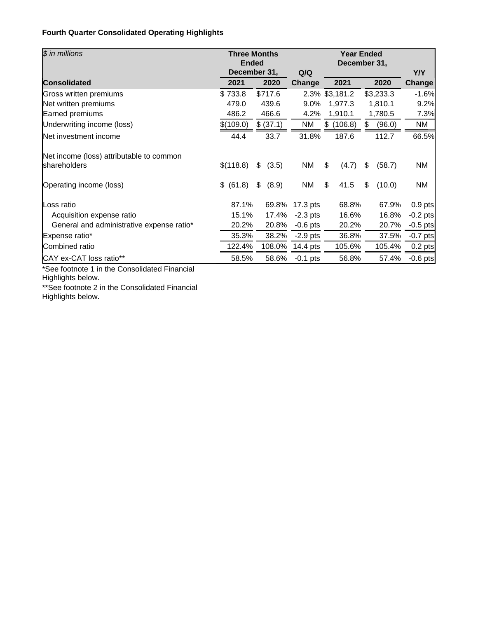# **Fourth Quarter Consolidated Operating Highlights**

| \$ in millions                                           | <b>Ended</b> | <b>Three Months</b> |            | <b>Year Ended</b><br>December 31, |              |            |
|----------------------------------------------------------|--------------|---------------------|------------|-----------------------------------|--------------|------------|
|                                                          |              | December 31,        | Q/Q        |                                   |              | Y/Y        |
| <b>Consolidated</b>                                      | 2021         | 2020                | Change     | 2021                              | 2020         | Change     |
| Gross written premiums                                   | \$733.8      | \$717.6             |            | 2.3% \$3,181.2                    | \$3,233.3    | $-1.6%$    |
| Net written premiums                                     | 479.0        | 439.6               | 9.0%       | 1,977.3                           | 1,810.1      | 9.2%       |
| Earned premiums                                          | 486.2        | 466.6               | 4.2%       | 1,910.1                           | 1,780.5      | 7.3%       |
| Underwriting income (loss)                               | \$(109.0)    | \$ (37.1)           | NM         | \$(106.8)                         | \$<br>(96.0) | NM         |
| Net investment income                                    | 44.4         | 33.7                | 31.8%      | 187.6                             | 112.7        | 66.5%      |
| Net income (loss) attributable to common<br>shareholders | \$(118.8)    | \$<br>(3.5)         | ΝM         | \$<br>(4.7)                       | \$<br>(58.7) | ΝM         |
| Operating income (loss)                                  | \$ (61.8)    | \$<br>(8.9)         | NM         | \$<br>41.5                        | \$<br>(10.0) | ΝM         |
| Loss ratio                                               | 87.1%        | 69.8%               | 17.3 pts   | 68.8%                             | 67.9%        | $0.9$ pts  |
| Acquisition expense ratio                                | 15.1%        | 17.4%               | $-2.3$ pts | 16.6%                             | 16.8%        | $-0.2$ pts |
| General and administrative expense ratio*                | 20.2%        | 20.8%               | $-0.6$ pts | 20.2%                             | 20.7%        | $-0.5$ pts |
| Expense ratio*                                           | 35.3%        | 38.2%               | $-2.9$ pts | 36.8%                             | 37.5%        | $-0.7$ pts |
| Combined ratio                                           | 122.4%       | 108.0%              | 14.4 pts   | 105.6%                            | 105.4%       | $0.2$ pts  |
| CAY ex-CAT loss ratio**                                  | 58.5%        | 58.6%               | $-0.1$ pts | 56.8%                             | 57.4%        | $-0.6$ pts |

\*See footnote 1 in the Consolidated Financial Highlights below.

\*\*See footnote 2 in the Consolidated Financial Highlights below.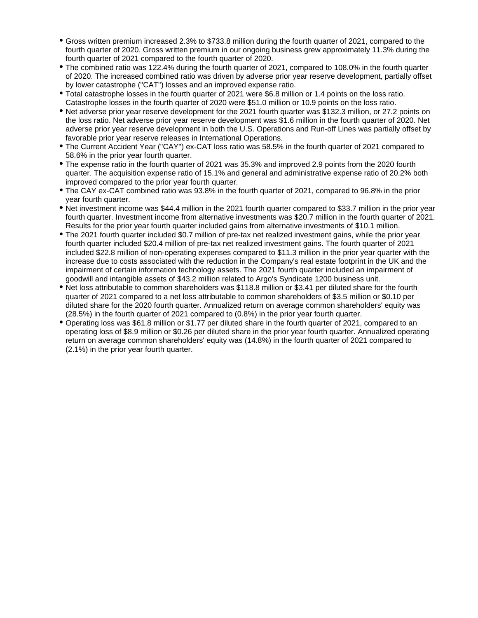- Gross written premium increased 2.3% to \$733.8 million during the fourth quarter of 2021, compared to the fourth quarter of 2020. Gross written premium in our ongoing business grew approximately 11.3% during the fourth quarter of 2021 compared to the fourth quarter of 2020.
- The combined ratio was 122.4% during the fourth quarter of 2021, compared to 108.0% in the fourth quarter of 2020. The increased combined ratio was driven by adverse prior year reserve development, partially offset by lower catastrophe ("CAT") losses and an improved expense ratio.
- Total catastrophe losses in the fourth quarter of 2021 were \$6.8 million or 1.4 points on the loss ratio. Catastrophe losses in the fourth quarter of 2020 were \$51.0 million or 10.9 points on the loss ratio.
- Net adverse prior year reserve development for the 2021 fourth quarter was \$132.3 million, or 27.2 points on the loss ratio. Net adverse prior year reserve development was \$1.6 million in the fourth quarter of 2020. Net adverse prior year reserve development in both the U.S. Operations and Run-off Lines was partially offset by favorable prior year reserve releases in International Operations.
- The Current Accident Year ("CAY") ex-CAT loss ratio was 58.5% in the fourth quarter of 2021 compared to 58.6% in the prior year fourth quarter.
- The expense ratio in the fourth quarter of 2021 was 35.3% and improved 2.9 points from the 2020 fourth quarter. The acquisition expense ratio of 15.1% and general and administrative expense ratio of 20.2% both improved compared to the prior year fourth quarter.
- The CAY ex-CAT combined ratio was 93.8% in the fourth quarter of 2021, compared to 96.8% in the prior year fourth quarter.
- Net investment income was \$44.4 million in the 2021 fourth quarter compared to \$33.7 million in the prior year fourth quarter. Investment income from alternative investments was \$20.7 million in the fourth quarter of 2021. Results for the prior year fourth quarter included gains from alternative investments of \$10.1 million.
- The 2021 fourth quarter included \$0.7 million of pre-tax net realized investment gains, while the prior year fourth quarter included \$20.4 million of pre-tax net realized investment gains. The fourth quarter of 2021 included \$22.8 million of non-operating expenses compared to \$11.3 million in the prior year quarter with the increase due to costs associated with the reduction in the Company's real estate footprint in the UK and the impairment of certain information technology assets. The 2021 fourth quarter included an impairment of goodwill and intangible assets of \$43.2 million related to Argo's Syndicate 1200 business unit.
- Net loss attributable to common shareholders was \$118.8 million or \$3.41 per diluted share for the fourth quarter of 2021 compared to a net loss attributable to common shareholders of \$3.5 million or \$0.10 per diluted share for the 2020 fourth quarter. Annualized return on average common shareholders' equity was (28.5%) in the fourth quarter of 2021 compared to (0.8%) in the prior year fourth quarter.
- Operating loss was \$61.8 million or \$1.77 per diluted share in the fourth quarter of 2021, compared to an operating loss of \$8.9 million or \$0.26 per diluted share in the prior year fourth quarter. Annualized operating return on average common shareholders' equity was (14.8%) in the fourth quarter of 2021 compared to (2.1%) in the prior year fourth quarter.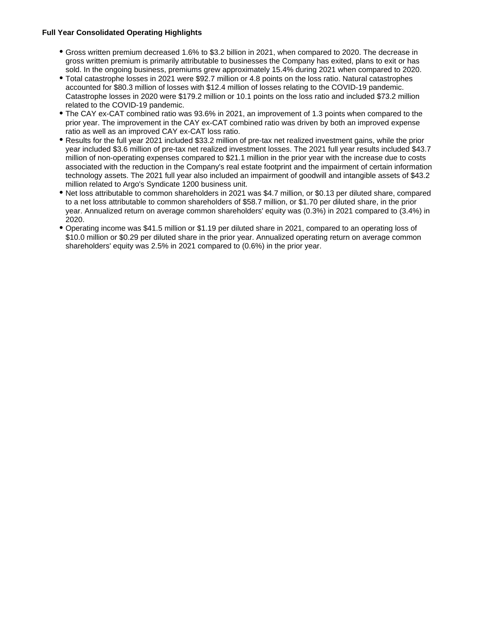#### **Full Year Consolidated Operating Highlights**

- Gross written premium decreased 1.6% to \$3.2 billion in 2021, when compared to 2020. The decrease in gross written premium is primarily attributable to businesses the Company has exited, plans to exit or has sold. In the ongoing business, premiums grew approximately 15.4% during 2021 when compared to 2020.
- Total catastrophe losses in 2021 were \$92.7 million or 4.8 points on the loss ratio. Natural catastrophes accounted for \$80.3 million of losses with \$12.4 million of losses relating to the COVID-19 pandemic. Catastrophe losses in 2020 were \$179.2 million or 10.1 points on the loss ratio and included \$73.2 million related to the COVID-19 pandemic.
- The CAY ex-CAT combined ratio was 93.6% in 2021, an improvement of 1.3 points when compared to the prior year. The improvement in the CAY ex-CAT combined ratio was driven by both an improved expense ratio as well as an improved CAY ex-CAT loss ratio.
- Results for the full year 2021 included \$33.2 million of pre-tax net realized investment gains, while the prior year included \$3.6 million of pre-tax net realized investment losses. The 2021 full year results included \$43.7 million of non-operating expenses compared to \$21.1 million in the prior year with the increase due to costs associated with the reduction in the Company's real estate footprint and the impairment of certain information technology assets. The 2021 full year also included an impairment of goodwill and intangible assets of \$43.2 million related to Argo's Syndicate 1200 business unit.
- Net loss attributable to common shareholders in 2021 was \$4.7 million, or \$0.13 per diluted share, compared to a net loss attributable to common shareholders of \$58.7 million, or \$1.70 per diluted share, in the prior year. Annualized return on average common shareholders' equity was (0.3%) in 2021 compared to (3.4%) in 2020.
- Operating income was \$41.5 million or \$1.19 per diluted share in 2021, compared to an operating loss of \$10.0 million or \$0.29 per diluted share in the prior year. Annualized operating return on average common shareholders' equity was 2.5% in 2021 compared to (0.6%) in the prior year.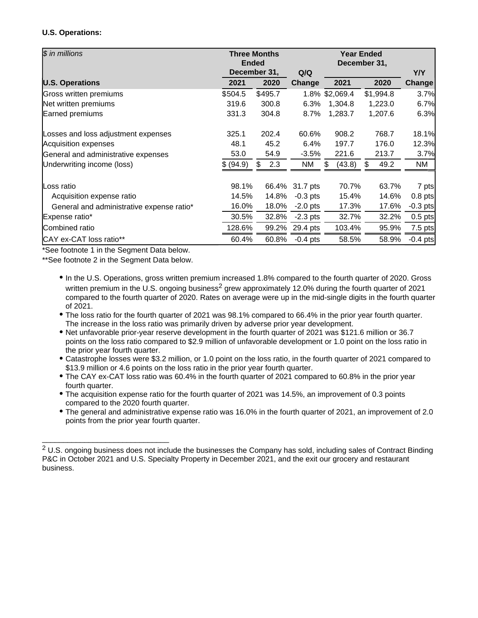## **U.S. Operations:**

| \$ in millions                            | <b>Ended</b> | <b>Three Months</b> |            | <b>Year Ended</b><br>December 31, |           |            |  |  |  |
|-------------------------------------------|--------------|---------------------|------------|-----------------------------------|-----------|------------|--|--|--|
|                                           |              | December 31,        | Q/Q        |                                   |           | Y/Y        |  |  |  |
| <b>U.S. Operations</b>                    | 2021         | 2020                | Change     | 2021                              | 2020      | Change     |  |  |  |
| Gross written premiums                    | \$504.5      | \$495.7             |            | 1.8% \$2,069.4                    | \$1,994.8 | 3.7%       |  |  |  |
| Net written premiums                      | 319.6        | 300.8               | 6.3%       | 1,304.8                           | 1,223.0   | 6.7%       |  |  |  |
| Earned premiums                           | 331.3        | 304.8               | 8.7%       | 1,283.7                           | 1,207.6   | 6.3%       |  |  |  |
| Losses and loss adjustment expenses       | 325.1        | 202.4               | 60.6%      | 908.2                             | 768.7     | 18.1%      |  |  |  |
| Acquisition expenses                      | 48.1         | 45.2                | 6.4%       | 197.7                             | 176.0     | 12.3%      |  |  |  |
| General and administrative expenses       | 53.0         | 54.9                | $-3.5%$    | 221.6                             | 213.7     | 3.7%       |  |  |  |
| Underwriting income (loss)                | \$ (94.9)    | 2.3<br>\$           | NM         | (43.8)<br>S                       | 49.2<br>S | NM         |  |  |  |
| Loss ratio                                | 98.1%        | 66.4%               | 31.7 pts   | 70.7%                             | 63.7%     | 7 pts      |  |  |  |
| Acquisition expense ratio                 | 14.5%        | 14.8%               | $-0.3$ pts | 15.4%                             | 14.6%     | $0.8$ pts  |  |  |  |
| General and administrative expense ratio* | 16.0%        | 18.0%               | $-2.0$ pts | 17.3%                             | 17.6%     | $-0.3$ pts |  |  |  |
| Expense ratio*                            | 30.5%        | 32.8%               | $-2.3$ pts | 32.7%                             | 32.2%     | $0.5$ pts  |  |  |  |
| Combined ratio                            | 128.6%       | 99.2%               | 29.4 pts   | 103.4%                            | 95.9%     | $7.5$ pts  |  |  |  |
| CAY ex-CAT loss ratio**                   | 60.4%        | 60.8%               | $-0.4$ pts | 58.5%                             | 58.9%     | $-0.4$ pts |  |  |  |

\*See footnote 1 in the Segment Data below.

\*\*See footnote 2 in the Segment Data below.

\_\_\_\_\_\_\_\_\_\_\_\_\_\_\_\_\_\_\_\_\_\_\_\_\_\_\_\_\_\_

- In the U.S. Operations, gross written premium increased 1.8% compared to the fourth quarter of 2020. Gross written premium in the U.S. ongoing business<sup>2</sup> grew approximately 12.0% during the fourth quarter of 2021 compared to the fourth quarter of 2020. Rates on average were up in the mid-single digits in the fourth quarter of 2021.
- The loss ratio for the fourth quarter of 2021 was 98.1% compared to 66.4% in the prior year fourth quarter. The increase in the loss ratio was primarily driven by adverse prior year development.
- Net unfavorable prior-year reserve development in the fourth quarter of 2021 was \$121.6 million or 36.7 points on the loss ratio compared to \$2.9 million of unfavorable development or 1.0 point on the loss ratio in the prior year fourth quarter.
- Catastrophe losses were \$3.2 million, or 1.0 point on the loss ratio, in the fourth quarter of 2021 compared to \$13.9 million or 4.6 points on the loss ratio in the prior year fourth quarter.
- The CAY ex-CAT loss ratio was 60.4% in the fourth quarter of 2021 compared to 60.8% in the prior year fourth quarter.
- The acquisition expense ratio for the fourth quarter of 2021 was 14.5%, an improvement of 0.3 points compared to the 2020 fourth quarter.
- The general and administrative expense ratio was 16.0% in the fourth quarter of 2021, an improvement of 2.0 points from the prior year fourth quarter.

 $2$  U.S. ongoing business does not include the businesses the Company has sold, including sales of Contract Binding P&C in October 2021 and U.S. Specialty Property in December 2021, and the exit our grocery and restaurant business.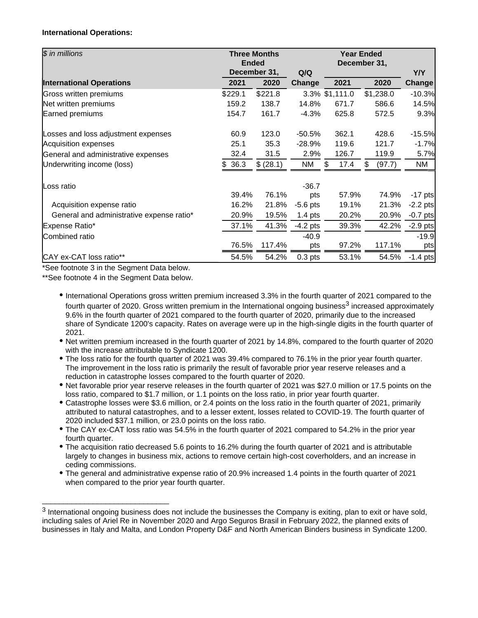#### **International Operations:**

| \$ in millions                            | <b>Ended</b> | <b>Three Months</b> |            |                |             |            |
|-------------------------------------------|--------------|---------------------|------------|----------------|-------------|------------|
|                                           |              | December 31,        | Q/Q        |                |             | Y/Y        |
| <b>International Operations</b>           | 2021         | 2020                | Change     | 2021           | 2020        | Change     |
| Gross written premiums                    | \$229.1      | \$221.8             |            | 3.3% \$1,111.0 | \$1,238.0   | $-10.3%$   |
| Net written premiums                      | 159.2        | 138.7               | 14.8%      | 671.7          | 586.6       | 14.5%      |
| Earned premiums                           | 154.7        | 161.7               | $-4.3%$    | 625.8          | 572.5       | 9.3%       |
| Losses and loss adjustment expenses       | 60.9         | 123.0               | $-50.5%$   | 362.1          | 428.6       | $-15.5%$   |
| Acquisition expenses                      | 25.1         | 35.3                | $-28.9%$   | 119.6          | 121.7       | $-1.7%$    |
| General and administrative expenses       | 32.4         | 31.5                | 2.9%       | 126.7          | 119.9       | 5.7%       |
| Underwriting income (loss)                | \$36.3       | \$ (28.1)           | NM         | \$<br>17.4     | (97.7)<br>S | NM         |
| Loss ratio                                |              |                     | $-36.7$    |                |             |            |
|                                           | 39.4%        | 76.1%               | pts        | 57.9%          | 74.9%       | $-17$ pts  |
| Acquisition expense ratio                 | 16.2%        | 21.8%               | $-5.6$ pts | 19.1%          | 21.3%       | $-2.2$ pts |
| General and administrative expense ratio* | 20.9%        | 19.5%               | $1.4$ pts  | 20.2%          | 20.9%       | $-0.7$ pts |
| Expense Ratio*                            | 37.1%        | 41.3%               | $-4.2$ pts | 39.3%          | 42.2%       | $-2.9$ pts |
| Combined ratio                            |              |                     | $-40.9$    |                |             | $-19.9$    |
|                                           | 76.5%        | 117.4%              | pts        | 97.2%          | 117.1%      | pts        |
| CAY ex-CAT loss ratio**                   | 54.5%        | 54.2%               | $0.3$ pts  | 53.1%          | 54.5%       | $-1.4$ pts |

\*See footnote 3 in the Segment Data below.

\_\_\_\_\_\_\_\_\_\_\_\_\_\_\_\_\_\_\_\_\_\_\_\_\_\_\_\_\_\_

\*\*See footnote 4 in the Segment Data below.

- International Operations gross written premium increased 3.3% in the fourth quarter of 2021 compared to the fourth quarter of 2020. Gross written premium in the International ongoing business<sup>3</sup> increased approximately 9.6% in the fourth quarter of 2021 compared to the fourth quarter of 2020, primarily due to the increased share of Syndicate 1200's capacity. Rates on average were up in the high-single digits in the fourth quarter of 2021.
- Net written premium increased in the fourth quarter of 2021 by 14.8%, compared to the fourth quarter of 2020 with the increase attributable to Syndicate 1200.
- The loss ratio for the fourth quarter of 2021 was 39.4% compared to 76.1% in the prior year fourth quarter. The improvement in the loss ratio is primarily the result of favorable prior year reserve releases and a reduction in catastrophe losses compared to the fourth quarter of 2020.
- Net favorable prior year reserve releases in the fourth quarter of 2021 was \$27.0 million or 17.5 points on the loss ratio, compared to \$1.7 million, or 1.1 points on the loss ratio, in prior year fourth quarter.
- Catastrophe losses were \$3.6 million, or 2.4 points on the loss ratio in the fourth quarter of 2021, primarily attributed to natural catastrophes, and to a lesser extent, losses related to COVID-19. The fourth quarter of 2020 included \$37.1 million, or 23.0 points on the loss ratio.
- The CAY ex-CAT loss ratio was 54.5% in the fourth quarter of 2021 compared to 54.2% in the prior year fourth quarter.
- The acquisition ratio decreased 5.6 points to 16.2% during the fourth quarter of 2021 and is attributable largely to changes in business mix, actions to remove certain high-cost coverholders, and an increase in ceding commissions.
- The general and administrative expense ratio of 20.9% increased 1.4 points in the fourth quarter of 2021 when compared to the prior year fourth quarter.

 $3$  International ongoing business does not include the businesses the Company is exiting, plan to exit or have sold, including sales of Ariel Re in November 2020 and Argo Seguros Brasil in February 2022, the planned exits of businesses in Italy and Malta, and London Property D&F and North American Binders business in Syndicate 1200.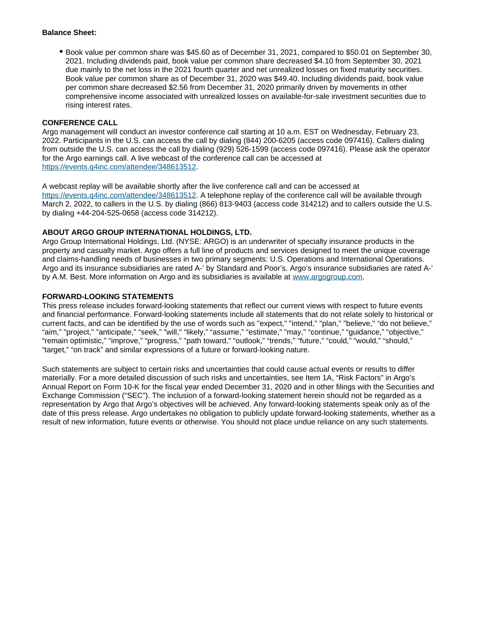#### **Balance Sheet:**

Book value per common share was \$45.60 as of December 31, 2021, compared to \$50.01 on September 30, 2021. Including dividends paid, book value per common share decreased \$4.10 from September 30, 2021 due mainly to the net loss in the 2021 fourth quarter and net unrealized losses on fixed maturity securities. Book value per common share as of December 31, 2020 was \$49.40. Including dividends paid, book value per common share decreased \$2.56 from December 31, 2020 primarily driven by movements in other comprehensive income associated with unrealized losses on available-for-sale investment securities due to rising interest rates.

#### **CONFERENCE CALL**

Argo management will conduct an investor conference call starting at 10 a.m. EST on Wednesday, February 23, 2022. Participants in the U.S. can access the call by dialing (844) 200-6205 (access code 097416). Callers dialing from outside the U.S. can access the call by dialing (929) 526-1599 (access code 097416). Please ask the operator for the Argo earnings call. A live webcast of the conference call can be accessed at <https://events.q4inc.com/attendee/348613512>.

A webcast replay will be available shortly after the live conference call and can be accessed at <https://events.q4inc.com/attendee/348613512>. A telephone replay of the conference call will be available through March 2, 2022, to callers in the U.S. by dialing (866) 813-9403 (access code 314212) and to callers outside the U.S. by dialing +44-204-525-0658 (access code 314212).

#### **ABOUT ARGO GROUP INTERNATIONAL HOLDINGS, LTD.**

Argo Group International Holdings, Ltd. (NYSE: ARGO) is an underwriter of specialty insurance products in the property and casualty market. Argo offers a full line of products and services designed to meet the unique coverage and claims-handling needs of businesses in two primary segments: U.S. Operations and International Operations. Argo and its insurance subsidiaries are rated A-' by Standard and Poor's. Argo's insurance subsidiaries are rated A-' by A.M. Best. More information on Argo and its subsidiaries is available at [www.argogroup.com](http://www.argogroup.com).

#### **FORWARD-LOOKING STATEMENTS**

This press release includes forward-looking statements that reflect our current views with respect to future events and financial performance. Forward-looking statements include all statements that do not relate solely to historical or current facts, and can be identified by the use of words such as "expect," "intend," "plan," "believe," "do not believe," "aim," "project," "anticipate," "seek," "will," "likely," "assume," "estimate," "may," "continue," "guidance," "objective," "remain optimistic," "improve," "progress," "path toward," "outlook," "trends," "future," "could," "would," "should," "target," "on track" and similar expressions of a future or forward-looking nature.

Such statements are subject to certain risks and uncertainties that could cause actual events or results to differ materially. For a more detailed discussion of such risks and uncertainties, see Item 1A, "Risk Factors" in Argo's Annual Report on Form 10-K for the fiscal year ended December 31, 2020 and in other filings with the Securities and Exchange Commission ("SEC"). The inclusion of a forward-looking statement herein should not be regarded as a representation by Argo that Argo's objectives will be achieved. Any forward-looking statements speak only as of the date of this press release. Argo undertakes no obligation to publicly update forward-looking statements, whether as a result of new information, future events or otherwise. You should not place undue reliance on any such statements.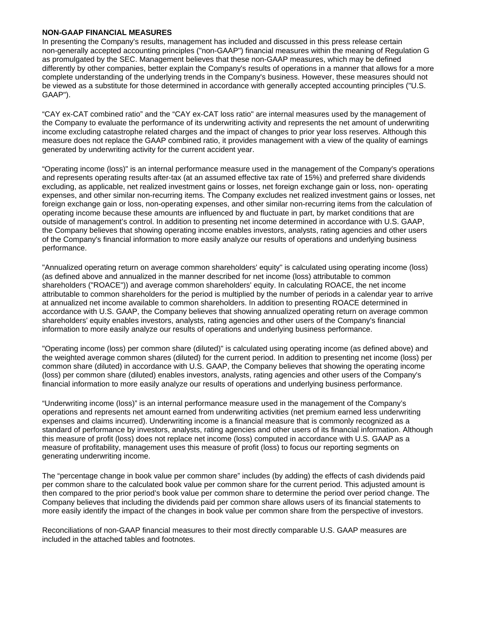#### **NON-GAAP FINANCIAL MEASURES**

In presenting the Company's results, management has included and discussed in this press release certain non-generally accepted accounting principles ("non-GAAP") financial measures within the meaning of Regulation G as promulgated by the SEC. Management believes that these non-GAAP measures, which may be defined differently by other companies, better explain the Company's results of operations in a manner that allows for a more complete understanding of the underlying trends in the Company's business. However, these measures should not be viewed as a substitute for those determined in accordance with generally accepted accounting principles ("U.S. GAAP").

"CAY ex-CAT combined ratio" and the "CAY ex-CAT loss ratio" are internal measures used by the management of the Company to evaluate the performance of its underwriting activity and represents the net amount of underwriting income excluding catastrophe related charges and the impact of changes to prior year loss reserves. Although this measure does not replace the GAAP combined ratio, it provides management with a view of the quality of earnings generated by underwriting activity for the current accident year.

"Operating income (loss)" is an internal performance measure used in the management of the Company's operations and represents operating results after-tax (at an assumed effective tax rate of 15%) and preferred share dividends excluding, as applicable, net realized investment gains or losses, net foreign exchange gain or loss, non- operating expenses, and other similar non-recurring items. The Company excludes net realized investment gains or losses, net foreign exchange gain or loss, non-operating expenses, and other similar non-recurring items from the calculation of operating income because these amounts are influenced by and fluctuate in part, by market conditions that are outside of management's control. In addition to presenting net income determined in accordance with U.S. GAAP, the Company believes that showing operating income enables investors, analysts, rating agencies and other users of the Company's financial information to more easily analyze our results of operations and underlying business performance.

"Annualized operating return on average common shareholders' equity" is calculated using operating income (loss) (as defined above and annualized in the manner described for net income (loss) attributable to common shareholders ("ROACE")) and average common shareholders' equity. In calculating ROACE, the net income attributable to common shareholders for the period is multiplied by the number of periods in a calendar year to arrive at annualized net income available to common shareholders. In addition to presenting ROACE determined in accordance with U.S. GAAP, the Company believes that showing annualized operating return on average common shareholders' equity enables investors, analysts, rating agencies and other users of the Company's financial information to more easily analyze our results of operations and underlying business performance.

"Operating income (loss) per common share (diluted)" is calculated using operating income (as defined above) and the weighted average common shares (diluted) for the current period. In addition to presenting net income (loss) per common share (diluted) in accordance with U.S. GAAP, the Company believes that showing the operating income (loss) per common share (diluted) enables investors, analysts, rating agencies and other users of the Company's financial information to more easily analyze our results of operations and underlying business performance.

"Underwriting income (loss)" is an internal performance measure used in the management of the Company's operations and represents net amount earned from underwriting activities (net premium earned less underwriting expenses and claims incurred). Underwriting income is a financial measure that is commonly recognized as a standard of performance by investors, analysts, rating agencies and other users of its financial information. Although this measure of profit (loss) does not replace net income (loss) computed in accordance with U.S. GAAP as a measure of profitability, management uses this measure of profit (loss) to focus our reporting segments on generating underwriting income.

The "percentage change in book value per common share" includes (by adding) the effects of cash dividends paid per common share to the calculated book value per common share for the current period. This adjusted amount is then compared to the prior period's book value per common share to determine the period over period change. The Company believes that including the dividends paid per common share allows users of its financial statements to more easily identify the impact of the changes in book value per common share from the perspective of investors.

Reconciliations of non-GAAP financial measures to their most directly comparable U.S. GAAP measures are included in the attached tables and footnotes.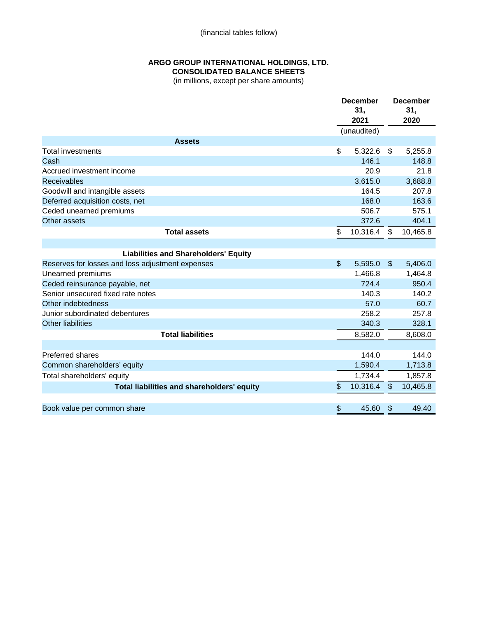(financial tables follow)

## **ARGO GROUP INTERNATIONAL HOLDINGS, LTD. CONSOLIDATED BALANCE SHEETS**

(in millions, except per share amounts)

|                                                  | <b>December</b><br>31,<br>2021 |                         | <b>December</b><br>31,<br>2020 |
|--------------------------------------------------|--------------------------------|-------------------------|--------------------------------|
|                                                  | (unaudited)                    |                         |                                |
| <b>Assets</b>                                    |                                |                         |                                |
| <b>Total investments</b>                         | \$<br>5,322.6                  | \$                      | 5,255.8                        |
| Cash                                             | 146.1                          |                         | 148.8                          |
| Accrued investment income                        | 20.9                           |                         | 21.8                           |
| <b>Receivables</b>                               | 3,615.0                        |                         | 3,688.8                        |
| Goodwill and intangible assets                   | 164.5                          |                         | 207.8                          |
| Deferred acquisition costs, net                  | 168.0                          |                         | 163.6                          |
| Ceded unearned premiums                          | 506.7                          |                         | 575.1                          |
| Other assets                                     | 372.6                          |                         | 404.1                          |
| <b>Total assets</b>                              | \$<br>10,316.4                 | \$                      | 10,465.8                       |
|                                                  |                                |                         |                                |
| <b>Liabilities and Shareholders' Equity</b>      |                                |                         |                                |
| Reserves for losses and loss adjustment expenses | \$<br>5,595.0                  | $\mathfrak{L}$          | 5,406.0                        |
| Unearned premiums                                | 1,466.8                        |                         | 1,464.8                        |
| Ceded reinsurance payable, net                   | 724.4                          |                         | 950.4                          |
| Senior unsecured fixed rate notes                | 140.3                          |                         | 140.2                          |
| Other indebtedness                               | 57.0                           |                         | 60.7                           |
| Junior subordinated debentures                   | 258.2                          |                         | 257.8                          |
| <b>Other liabilities</b>                         | 340.3                          |                         | 328.1                          |
| <b>Total liabilities</b>                         | 8,582.0                        |                         | 8,608.0                        |
|                                                  |                                |                         |                                |
| <b>Preferred shares</b>                          | 144.0                          |                         | 144.0                          |
| Common shareholders' equity                      | 1,590.4                        |                         | 1,713.8                        |
| Total shareholders' equity                       | 1,734.4                        |                         | 1,857.8                        |
| Total liabilities and shareholders' equity       | \$<br>10,316.4                 | $\sqrt[6]{\frac{1}{2}}$ | 10,465.8                       |
|                                                  |                                |                         |                                |
| Book value per common share                      | \$<br>45.60                    | \$                      | 49.40                          |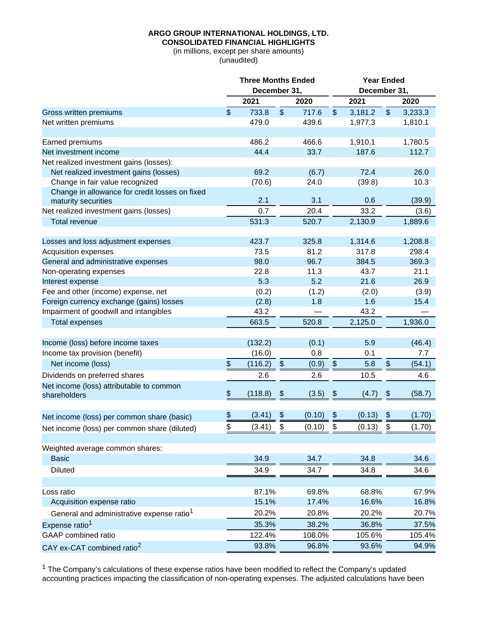## **CONSOLIDATED FINANCIAL HIGHLIGHTS**

(in millions, except per share amounts) (unaudited)

|                                                                       |                | <b>Three Months Ended</b> |               |        |                       | <b>Year Ended</b> |                   |         |  |  |  |
|-----------------------------------------------------------------------|----------------|---------------------------|---------------|--------|-----------------------|-------------------|-------------------|---------|--|--|--|
|                                                                       | December 31,   |                           |               |        |                       | December 31,      |                   |         |  |  |  |
|                                                                       |                | 2021                      |               | 2020   |                       | 2021              |                   | 2020    |  |  |  |
| Gross written premiums                                                | $\mathfrak{S}$ | 733.8                     | $\frac{1}{2}$ | 717.6  | $\frac{1}{2}$         | 3,181.2           | $\frac{1}{2}$     | 3,233.3 |  |  |  |
| Net written premiums                                                  |                | 479.0                     |               | 439.6  |                       | 1,977.3           |                   | 1,810.1 |  |  |  |
|                                                                       |                |                           |               |        |                       |                   |                   |         |  |  |  |
| Earned premiums                                                       |                | 486.2                     |               | 466.6  |                       | 1,910.1           |                   | 1,780.5 |  |  |  |
| Net investment income                                                 |                | 44.4                      |               | 33.7   |                       | 187.6             |                   | 112.7   |  |  |  |
| Net realized investment gains (losses):                               |                |                           |               |        |                       |                   |                   |         |  |  |  |
| Net realized investment gains (losses)                                |                | 69.2                      |               | (6.7)  |                       | 72.4              |                   | 26.0    |  |  |  |
| Change in fair value recognized                                       |                | (70.6)                    |               | 24.0   |                       | (39.8)            |                   | 10.3    |  |  |  |
| Change in allowance for credit losses on fixed<br>maturity securities |                | 2.1                       |               | 3.1    |                       | 0.6               |                   | (39.9)  |  |  |  |
| Net realized investment gains (losses)                                |                | 0.7                       |               | 20.4   |                       | 33.2              |                   | (3.6)   |  |  |  |
| <b>Total revenue</b>                                                  |                | 531.3                     |               | 520.7  |                       | 2,130.9           |                   | 1,889.6 |  |  |  |
|                                                                       |                |                           |               |        |                       |                   |                   |         |  |  |  |
| Losses and loss adjustment expenses                                   |                | 423.7                     |               | 325.8  |                       | 1,314.6           |                   | 1,208.8 |  |  |  |
| <b>Acquisition expenses</b>                                           |                | 73.5                      |               | 81.2   |                       | 317.8             |                   | 298.4   |  |  |  |
| General and administrative expenses                                   |                | 98.0                      |               | 96.7   |                       | 384.5             |                   | 369.3   |  |  |  |
| Non-operating expenses                                                |                | 22.8                      |               | 11.3   |                       | 43.7              |                   | 21.1    |  |  |  |
| Interest expense                                                      |                | 5.3                       |               | 5.2    |                       | 21.6              |                   | 26.9    |  |  |  |
| Fee and other (income) expense, net                                   |                | (0.2)                     |               | (1.2)  |                       | (2.0)             |                   | (3.9)   |  |  |  |
| Foreign currency exchange (gains) losses                              |                | (2.8)                     |               | 1.8    |                       | 1.6               |                   | 15.4    |  |  |  |
| Impairment of goodwill and intangibles                                |                | 43.2                      |               |        |                       | 43.2              |                   |         |  |  |  |
| <b>Total expenses</b>                                                 |                | 663.5                     |               | 520.8  |                       | 2,125.0           |                   | 1,936.0 |  |  |  |
|                                                                       |                |                           |               |        |                       |                   |                   |         |  |  |  |
| Income (loss) before income taxes                                     |                | (132.2)                   |               | (0.1)  |                       | 5.9               |                   | (46.4)  |  |  |  |
| Income tax provision (benefit)                                        |                | (16.0)                    |               | 0.8    |                       | 0.1               |                   | 7.7     |  |  |  |
| Net income (loss)                                                     | \$             | (116.2)                   | $\frac{1}{2}$ | (0.9)  | $\boldsymbol{\theta}$ | 5.8               | $\boldsymbol{\$}$ | (54.1)  |  |  |  |
| Dividends on preferred shares                                         |                | 2.6                       |               | 2.6    |                       | 10.5              |                   | 4.6     |  |  |  |
| Net income (loss) attributable to common                              |                |                           |               |        |                       |                   |                   |         |  |  |  |
| shareholders                                                          | \$             | (118.8)                   | \$            | (3.5)  | \$                    | (4.7)             | \$                | (58.7)  |  |  |  |
|                                                                       |                |                           |               |        |                       |                   |                   |         |  |  |  |
| Net income (loss) per common share (basic)                            | $\frac{1}{2}$  | (3.41)                    | \$            | (0.10) | \$                    | (0.13)            | \$                | (1.70)  |  |  |  |
| Net income (loss) per common share (diluted)                          | ደ              | (3.41)                    | \$            | (0.10) | ደ                     | (0.13)            | ፍ                 | (1.70)  |  |  |  |
|                                                                       |                |                           |               |        |                       |                   |                   |         |  |  |  |
| Weighted average common shares:                                       |                |                           |               |        |                       |                   |                   |         |  |  |  |
| <b>Basic</b>                                                          |                | 34.9                      |               | 34.7   |                       | 34.8              |                   | 34.6    |  |  |  |
| <b>Diluted</b>                                                        |                | 34.9                      |               | 34.7   |                       | 34.8              |                   | 34.6    |  |  |  |
|                                                                       |                |                           |               |        |                       |                   |                   |         |  |  |  |
| Loss ratio                                                            |                | 87.1%                     |               | 69.8%  |                       | 68.8%             |                   | 67.9%   |  |  |  |
| Acquisition expense ratio                                             |                | 15.1%                     |               | 17.4%  |                       | 16.6%             |                   | 16.8%   |  |  |  |
| General and administrative expense ratio <sup>1</sup>                 |                | 20.2%                     |               | 20.8%  |                       | 20.2%             |                   | 20.7%   |  |  |  |
| Expense ratio <sup>1</sup>                                            |                | 35.3%                     |               | 38.2%  |                       | 36.8%             |                   | 37.5%   |  |  |  |
| GAAP combined ratio                                                   |                | 122.4%                    |               | 108.0% |                       | 105.6%            |                   | 105.4%  |  |  |  |
| CAY ex-CAT combined ratio <sup>2</sup>                                |                | 93.8%                     |               | 96.8%  |                       | 93.6%             |                   | 94.9%   |  |  |  |
|                                                                       |                |                           |               |        |                       |                   |                   |         |  |  |  |

 $1$  The Company's calculations of these expense ratios have been modified to reflect the Company's updated accounting practices impacting the classification of non-operating expenses. The adjusted calculations have been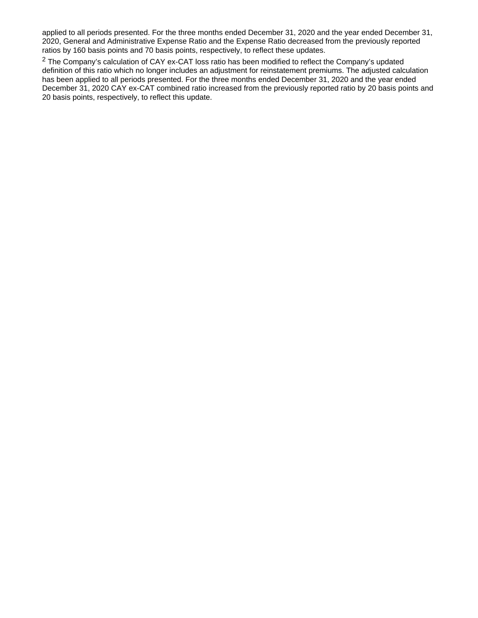applied to all periods presented. For the three months ended December 31, 2020 and the year ended December 31, 2020, General and Administrative Expense Ratio and the Expense Ratio decreased from the previously reported ratios by 160 basis points and 70 basis points, respectively, to reflect these updates.

 $2$  The Company's calculation of CAY ex-CAT loss ratio has been modified to reflect the Company's updated definition of this ratio which no longer includes an adjustment for reinstatement premiums. The adjusted calculation has been applied to all periods presented. For the three months ended December 31, 2020 and the year ended December 31, 2020 CAY ex-CAT combined ratio increased from the previously reported ratio by 20 basis points and 20 basis points, respectively, to reflect this update.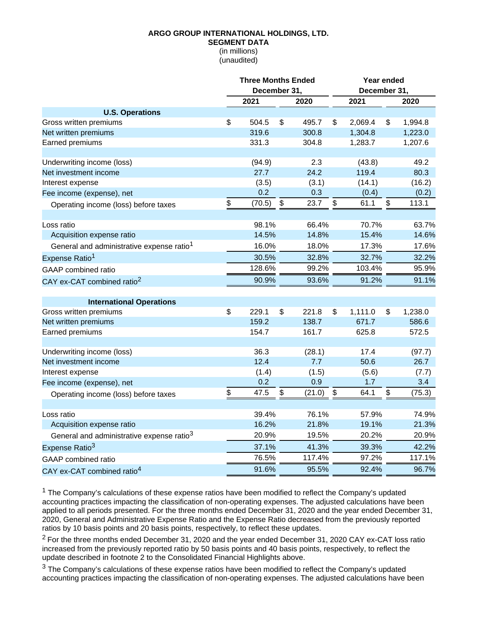#### **SEGMENT DATA**

(in millions) (unaudited)

|                                                       | <b>Three Months Ended</b><br>December 31, |                |    |                |    | Year ended<br>December 31, |                           |                |  |
|-------------------------------------------------------|-------------------------------------------|----------------|----|----------------|----|----------------------------|---------------------------|----------------|--|
|                                                       |                                           | 2021           |    | 2020           |    | 2021                       |                           | 2020           |  |
| <b>U.S. Operations</b>                                |                                           |                |    |                |    |                            |                           |                |  |
| Gross written premiums                                | \$                                        | 504.5          | \$ | 495.7          | \$ | 2,069.4                    | $\boldsymbol{\mathsf{S}}$ | 1,994.8        |  |
| Net written premiums                                  |                                           | 319.6          |    | 300.8          |    | 1,304.8                    |                           | 1,223.0        |  |
| Earned premiums                                       |                                           | 331.3          |    | 304.8          |    | 1,283.7                    |                           | 1,207.6        |  |
| Underwriting income (loss)                            |                                           | (94.9)         |    | 2.3            |    | (43.8)                     |                           | 49.2           |  |
| Net investment income                                 |                                           | 27.7           |    | 24.2           |    | 119.4                      |                           | 80.3           |  |
| Interest expense                                      |                                           | (3.5)          |    | (3.1)          |    | (14.1)                     |                           | (16.2)         |  |
| Fee income (expense), net                             |                                           | 0.2            |    | 0.3            |    | (0.4)                      |                           | (0.2)          |  |
| Operating income (loss) before taxes                  | \$                                        | (70.5)         | \$ | 23.7           | \$ | 61.1                       | \$                        | 113.1          |  |
|                                                       |                                           |                |    |                |    |                            |                           |                |  |
| Loss ratio                                            |                                           | 98.1%          |    | 66.4%          |    | 70.7%                      |                           | 63.7%          |  |
| Acquisition expense ratio                             |                                           | 14.5%          |    | 14.8%          |    | 15.4%                      |                           | 14.6%          |  |
| General and administrative expense ratio <sup>1</sup> |                                           | 16.0%          |    | 18.0%          |    | 17.3%                      |                           | 17.6%          |  |
| Expense Ratio <sup>1</sup>                            |                                           | 30.5%          |    | 32.8%          |    | 32.7%                      |                           | 32.2%          |  |
| GAAP combined ratio                                   |                                           | 128.6%         |    | 99.2%          |    | 103.4%                     |                           | 95.9%          |  |
| CAY ex-CAT combined ratio <sup>2</sup>                |                                           | 90.9%          |    | 93.6%          |    | 91.2%                      |                           | 91.1%          |  |
|                                                       |                                           |                |    |                |    |                            |                           |                |  |
| <b>International Operations</b>                       |                                           |                |    |                |    |                            |                           |                |  |
| Gross written premiums                                | \$                                        | 229.1          | \$ | 221.8          | \$ | 1,111.0                    | \$                        | 1,238.0        |  |
| Net written premiums<br>Earned premiums               |                                           | 159.2<br>154.7 |    | 138.7<br>161.7 |    | 671.7<br>625.8             |                           | 586.6<br>572.5 |  |
|                                                       |                                           |                |    |                |    |                            |                           |                |  |
| Underwriting income (loss)                            |                                           | 36.3           |    | (28.1)         |    | 17.4                       |                           | (97.7)         |  |
| Net investment income                                 |                                           | 12.4           |    | 7.7            |    | 50.6                       |                           | 26.7           |  |
| Interest expense                                      |                                           | (1.4)          |    | (1.5)          |    | (5.6)                      |                           | (7.7)          |  |
| Fee income (expense), net                             |                                           | 0.2            |    | 0.9            |    | 1.7                        |                           | 3.4            |  |
| Operating income (loss) before taxes                  | \$                                        | 47.5           | \$ | (21.0)         | \$ | 64.1                       | \$                        | (75.3)         |  |
|                                                       |                                           |                |    |                |    |                            |                           |                |  |
| Loss ratio                                            |                                           | 39.4%<br>16.2% |    | 76.1%<br>21.8% |    | 57.9%<br>19.1%             |                           | 74.9%<br>21.3% |  |
| Acquisition expense ratio                             |                                           |                |    |                |    |                            |                           |                |  |
| General and administrative expense ratio <sup>3</sup> |                                           | 20.9%          |    | 19.5%          |    | 20.2%                      |                           | 20.9%          |  |
| Expense Ratio <sup>3</sup>                            |                                           | 37.1%          |    | 41.3%          |    | 39.3%                      |                           | 42.2%          |  |
| <b>GAAP</b> combined ratio                            |                                           | 76.5%          |    | 117.4%         |    | 97.2%                      |                           | 117.1%         |  |
| CAY ex-CAT combined ratio <sup>4</sup>                |                                           | 91.6%          |    | 95.5%          |    | 92.4%                      |                           | 96.7%          |  |

 $<sup>1</sup>$  The Company's calculations of these expense ratios have been modified to reflect the Company's updated</sup> accounting practices impacting the classification of non-operating expenses. The adjusted calculations have been applied to all periods presented. For the three months ended December 31, 2020 and the year ended December 31, 2020, General and Administrative Expense Ratio and the Expense Ratio decreased from the previously reported ratios by 10 basis points and 20 basis points, respectively, to reflect these updates.

<sup>2</sup> For the three months ended December 31, 2020 and the year ended December 31, 2020 CAY ex-CAT loss ratio increased from the previously reported ratio by 50 basis points and 40 basis points, respectively, to reflect the update described in footnote 2 to the Consolidated Financial Highlights above.

 $3$  The Company's calculations of these expense ratios have been modified to reflect the Company's updated accounting practices impacting the classification of non-operating expenses. The adjusted calculations have been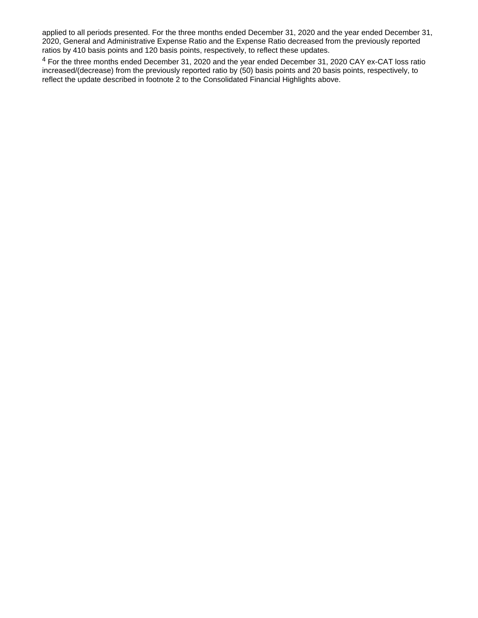applied to all periods presented. For the three months ended December 31, 2020 and the year ended December 31, 2020, General and Administrative Expense Ratio and the Expense Ratio decreased from the previously reported ratios by 410 basis points and 120 basis points, respectively, to reflect these updates.

<sup>4</sup> For the three months ended December 31, 2020 and the year ended December 31, 2020 CAY ex-CAT loss ratio increased/(decrease) from the previously reported ratio by (50) basis points and 20 basis points, respectively, to reflect the update described in footnote 2 to the Consolidated Financial Highlights above.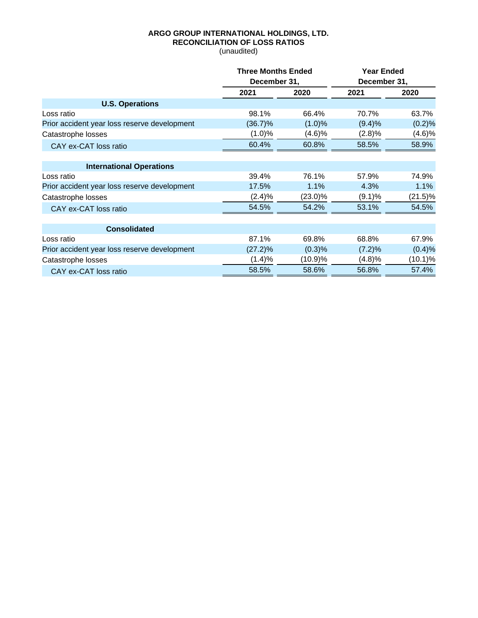# **ARGO GROUP INTERNATIONAL HOLDINGS, LTD. RECONCILIATION OF LOSS RATIOS**

(unaudited)

|                                              | <b>Three Months Ended</b> | <b>Year Ended</b> |              |            |  |
|----------------------------------------------|---------------------------|-------------------|--------------|------------|--|
|                                              | December 31,              |                   | December 31, |            |  |
|                                              | 2021                      | 2020              | 2021         | 2020       |  |
| <b>U.S. Operations</b>                       |                           |                   |              |            |  |
| Loss ratio                                   | 98.1%                     | 66.4%             | 70.7%        | 63.7%      |  |
| Prior accident year loss reserve development | $(36.7)\%$                | (1.0)%            | (9.4)%       | (0.2)%     |  |
| Catastrophe losses                           | $(1.0)\%$                 | (4.6)%            | (2.8)%       | (4.6)%     |  |
| CAY ex-CAT loss ratio                        | 60.4%                     | 60.8%             | 58.5%        | 58.9%      |  |
|                                              |                           |                   |              |            |  |
| <b>International Operations</b>              |                           |                   |              |            |  |
| Loss ratio                                   | 39.4%                     | 76.1%             | 57.9%        | 74.9%      |  |
| Prior accident year loss reserve development | 17.5%                     | 1.1%              | 4.3%         | 1.1%       |  |
| Catastrophe losses                           | (2.4)%                    | $(23.0)\%$        | (9.1)%       | $(21.5)\%$ |  |
| CAY ex-CAT loss ratio                        | 54.5%                     | 54.2%             | 53.1%        | 54.5%      |  |
|                                              |                           |                   |              |            |  |
| <b>Consolidated</b>                          |                           |                   |              |            |  |
| Loss ratio                                   | 87.1%                     | 69.8%             | 68.8%        | 67.9%      |  |
| Prior accident year loss reserve development | $(27.2)\%$                | (0.3)%            | (7.2)%       | (0.4)%     |  |
| Catastrophe losses                           | (1.4)%                    | (10.9)%           | (4.8)%       | (10.1)%    |  |
| CAY ex-CAT loss ratio                        | 58.5%                     | 58.6%             | 56.8%        | 57.4%      |  |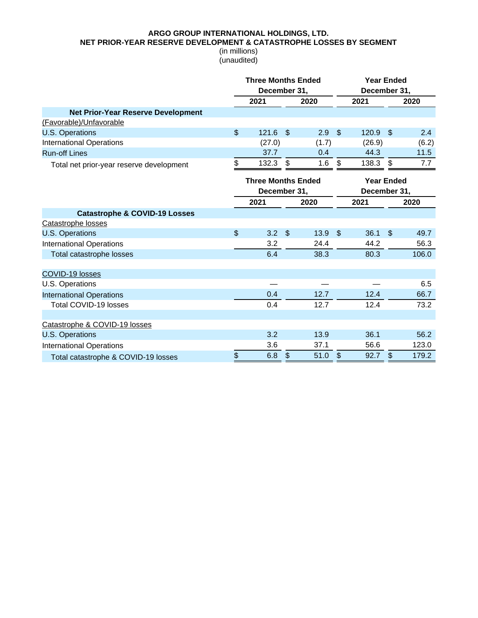**NET PRIOR-YEAR RESERVE DEVELOPMENT & CATASTROPHE LOSSES BY SEGMENT**

|                                           |                | <b>Three Months Ended</b><br>December 31, |                |       |                           | <b>Year Ended</b><br>December 31, |               |       |  |
|-------------------------------------------|----------------|-------------------------------------------|----------------|-------|---------------------------|-----------------------------------|---------------|-------|--|
|                                           |                | 2021                                      |                | 2020  |                           | 2021                              |               | 2020  |  |
| <b>Net Prior-Year Reserve Development</b> |                |                                           |                |       |                           |                                   |               |       |  |
| (Favorable)/Unfavorable                   |                |                                           |                |       |                           |                                   |               |       |  |
| <b>U.S. Operations</b>                    | $\mathfrak{S}$ | 121.6                                     | $\mathcal{S}$  | 2.9   | $\mathcal{F}$             | 120.9                             | \$            | 2.4   |  |
| <b>International Operations</b>           |                | (27.0)                                    |                | (1.7) |                           | (26.9)                            |               | (6.2) |  |
| <b>Run-off Lines</b>                      |                | 37.7                                      |                | 0.4   |                           | 44.3                              |               | 11.5  |  |
| Total net prior-year reserve development  | \$             | 132.3                                     | \$             | 1.6   | \$                        | 138.3                             | \$            | 7.7   |  |
|                                           |                | <b>Three Months Ended</b>                 |                |       |                           | <b>Year Ended</b>                 |               |       |  |
|                                           |                | December 31,                              |                |       |                           | December 31,                      |               |       |  |
|                                           |                | 2021                                      |                | 2020  |                           | 2021                              |               | 2020  |  |
| <b>Catastrophe &amp; COVID-19 Losses</b>  |                |                                           |                |       |                           |                                   |               |       |  |
| Catastrophe losses                        |                |                                           |                |       |                           |                                   |               |       |  |
| <b>U.S. Operations</b>                    | \$             | 3.2                                       | $\sqrt[6]{3}$  | 13.9  | $\mathfrak{S}$            | 36.1                              | $\mathcal{S}$ | 49.7  |  |
| <b>International Operations</b>           |                | 3.2                                       |                | 24.4  |                           | 44.2                              |               | 56.3  |  |
| Total catastrophe losses                  |                | 6.4                                       |                | 38.3  |                           | 80.3                              |               | 106.0 |  |
| COVID-19 losses                           |                |                                           |                |       |                           |                                   |               |       |  |
| U.S. Operations                           |                |                                           |                |       |                           |                                   |               | 6.5   |  |
| <b>International Operations</b>           |                | 0.4                                       |                | 12.7  |                           | 12.4                              |               | 66.7  |  |
| Total COVID-19 losses                     |                | 0.4                                       |                | 12.7  |                           | 12.4                              |               | 73.2  |  |
|                                           |                |                                           |                |       |                           |                                   |               |       |  |
| Catastrophe & COVID-19 losses             |                |                                           |                |       |                           |                                   |               |       |  |
| <b>U.S. Operations</b>                    |                | 3.2                                       |                | 13.9  |                           | 36.1                              |               | 56.2  |  |
| <b>International Operations</b>           |                | 3.6                                       |                | 37.1  |                           | 56.6                              |               | 123.0 |  |
| Total catastrophe & COVID-19 losses       | \$             | 6.8                                       | $\mathfrak{F}$ | 51.0  | $\boldsymbol{\mathsf{S}}$ | 92.7                              | $\frac{1}{2}$ | 179.2 |  |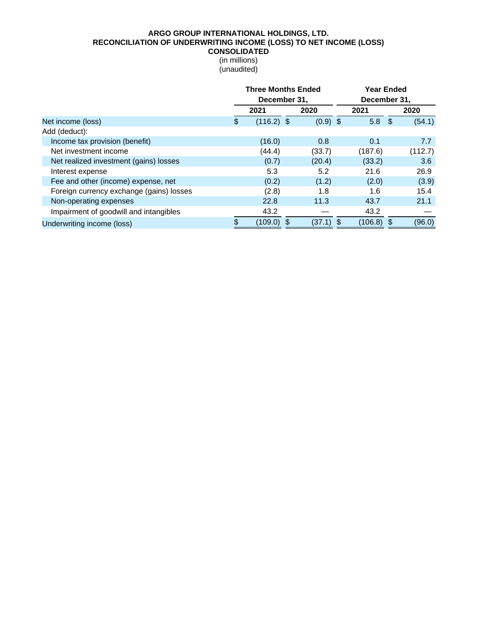## **ARGO GROUP INTERNATIONAL HOLDINGS, LTD. RECONCILIATION OF UNDERWRITING INCOME (LOSS) TO NET INCOME (LOSS) CONSOLIDATED**

|                                          | <b>Three Months Ended</b><br>December 31, |              |  |            |     | <b>Year Ended</b><br>December 31, |  |         |
|------------------------------------------|-------------------------------------------|--------------|--|------------|-----|-----------------------------------|--|---------|
|                                          |                                           | 2021         |  | 2020       |     | 2021                              |  | 2020    |
| Net income (loss)                        | \$.                                       | $(116.2)$ \$ |  | $(0.9)$ \$ |     | 5.8 <sup>5</sup>                  |  | (54.1)  |
| Add (deduct):                            |                                           |              |  |            |     |                                   |  |         |
| Income tax provision (benefit)           |                                           | (16.0)       |  | 0.8        |     | 0.1                               |  | 7.7     |
| Net investment income                    |                                           | (44.4)       |  | (33.7)     |     | (187.6)                           |  | (112.7) |
| Net realized investment (gains) losses   |                                           | (0.7)        |  | (20.4)     |     | (33.2)                            |  | 3.6     |
| Interest expense                         |                                           | 5.3          |  | 5.2        |     | 21.6                              |  | 26.9    |
| Fee and other (income) expense, net      |                                           | (0.2)        |  | (1.2)      |     | (2.0)                             |  | (3.9)   |
| Foreign currency exchange (gains) losses |                                           | (2.8)        |  | 1.8        |     | 1.6                               |  | 15.4    |
| Non-operating expenses                   |                                           | 22.8         |  | 11.3       |     | 43.7                              |  | 21.1    |
| Impairment of goodwill and intangibles   |                                           | 43.2         |  |            |     | 43.2                              |  |         |
| Underwriting income (loss)               |                                           | $(109.0)$ \$ |  | (37.1)     | -\$ | $(106.8)$ \$                      |  | (96.0)  |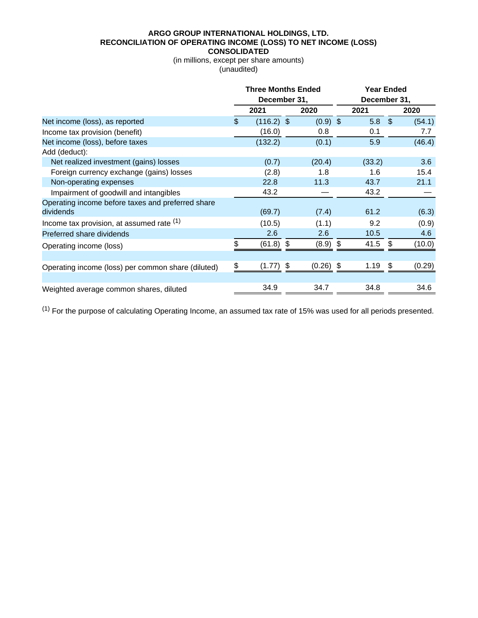#### **ARGO GROUP INTERNATIONAL HOLDINGS, LTD. RECONCILIATION OF OPERATING INCOME (LOSS) TO NET INCOME (LOSS) CONSOLIDATED**

#### (in millions, except per share amounts) (unaudited)

|                                                                | <b>Three Months Ended</b><br>December 31, |              |  |             | <b>Year Ended</b><br>December 31, |    |        |  |
|----------------------------------------------------------------|-------------------------------------------|--------------|--|-------------|-----------------------------------|----|--------|--|
|                                                                |                                           | 2021         |  | 2020        | 2021                              |    | 2020   |  |
| Net income (loss), as reported                                 | $\mathcal{S}$                             | $(116.2)$ \$ |  | $(0.9)$ \$  | 5.8 <sup>°</sup>                  |    | (54.1) |  |
| Income tax provision (benefit)                                 |                                           | (16.0)       |  | 0.8         | 0.1                               |    | 7.7    |  |
| Net income (loss), before taxes                                |                                           | (132.2)      |  | (0.1)       | 5.9                               |    | (46.4) |  |
| Add (deduct):                                                  |                                           |              |  |             |                                   |    |        |  |
| Net realized investment (gains) losses                         |                                           | (0.7)        |  | (20.4)      | (33.2)                            |    | 3.6    |  |
| Foreign currency exchange (gains) losses                       |                                           | (2.8)        |  | 1.8         | 1.6                               |    | 15.4   |  |
| Non-operating expenses                                         |                                           | 22.8         |  | 11.3        | 43.7                              |    | 21.1   |  |
| Impairment of goodwill and intangibles                         |                                           | 43.2         |  |             | 43.2                              |    |        |  |
| Operating income before taxes and preferred share<br>dividends |                                           | (69.7)       |  | (7.4)       | 61.2                              |    | (6.3)  |  |
| Income tax provision, at assumed rate $(1)$                    |                                           | (10.5)       |  | (1.1)       | 9.2                               |    | (0.9)  |  |
| Preferred share dividends                                      |                                           | 2.6          |  | 2.6         | 10.5                              |    | 4.6    |  |
| Operating income (loss)                                        |                                           | $(61.8)$ \$  |  | $(8.9)$ \$  | 41.5                              | \$ | (10.0) |  |
|                                                                |                                           |              |  |             |                                   |    |        |  |
| Operating income (loss) per common share (diluted)             |                                           | $(1.77)$ \$  |  | $(0.26)$ \$ | 1.19                              | \$ | (0.29) |  |
|                                                                |                                           |              |  |             |                                   |    |        |  |
| Weighted average common shares, diluted                        |                                           | 34.9         |  | 34.7        | 34.8                              |    | 34.6   |  |

 $(1)$  For the purpose of calculating Operating Income, an assumed tax rate of 15% was used for all periods presented.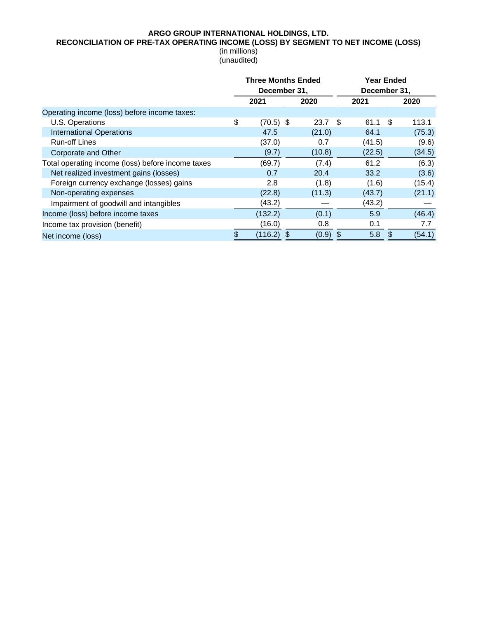## **RECONCILIATION OF PRE-TAX OPERATING INCOME (LOSS) BY SEGMENT TO NET INCOME (LOSS)**

|                                                   | <b>Three Months Ended</b><br>December 31, |  |            |  | <b>Year Ended</b><br>December 31, |    |        |  |
|---------------------------------------------------|-------------------------------------------|--|------------|--|-----------------------------------|----|--------|--|
|                                                   | 2021                                      |  | 2020       |  | 2021                              |    | 2020   |  |
| Operating income (loss) before income taxes:      |                                           |  |            |  |                                   |    |        |  |
| U.S. Operations                                   | \$<br>$(70.5)$ \$                         |  | $23.7$ \$  |  | 61.1                              | \$ | 113.1  |  |
| <b>International Operations</b>                   | 47.5                                      |  | (21.0)     |  | 64.1                              |    | (75.3) |  |
| <b>Run-off Lines</b>                              | (37.0)                                    |  | 0.7        |  | (41.5)                            |    | (9.6)  |  |
| Corporate and Other                               | (9.7)                                     |  | (10.8)     |  | (22.5)                            |    | (34.5) |  |
| Total operating income (loss) before income taxes | (69.7)                                    |  | (7.4)      |  | 61.2                              |    | (6.3)  |  |
| Net realized investment gains (losses)            | 0.7                                       |  | 20.4       |  | 33.2                              |    | (3.6)  |  |
| Foreign currency exchange (losses) gains          | 2.8                                       |  | (1.8)      |  | (1.6)                             |    | (15.4) |  |
| Non-operating expenses                            | (22.8)                                    |  | (11.3)     |  | (43.7)                            |    | (21.1) |  |
| Impairment of goodwill and intangibles            | (43.2)                                    |  |            |  | (43.2)                            |    |        |  |
| Income (loss) before income taxes                 | (132.2)                                   |  | (0.1)      |  | 5.9                               |    | (46.4) |  |
| Income tax provision (benefit)                    | (16.0)                                    |  | 0.8        |  | 0.1                               |    | 7.7    |  |
| Net income (loss)                                 | $(116.2)$ \$                              |  | $(0.9)$ \$ |  | 5.8                               | -S | (54.1) |  |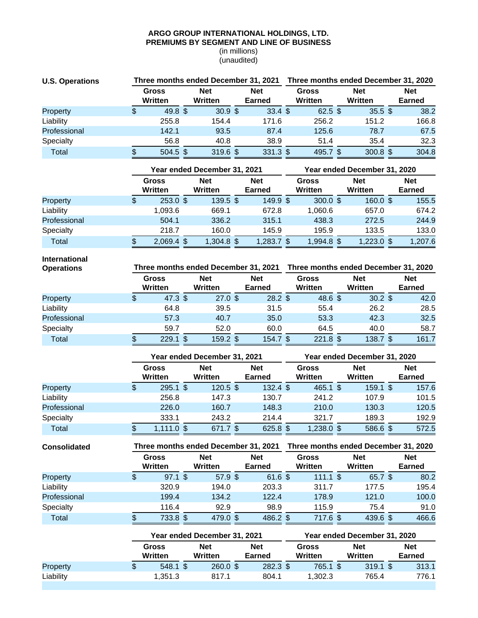#### **ARGO GROUP INTERNATIONAL HOLDINGS, LTD. PREMIUMS BY SEGMENT AND LINE OF BUSINESS**

(in millions) (unaudited)

| <b>U.S. Operations</b> |   |                         | Three months ended December 31, 2021 |                       | Three months ended December 31, 2020 |                             |  |                         |  |                       |  |                             |
|------------------------|---|-------------------------|--------------------------------------|-----------------------|--------------------------------------|-----------------------------|--|-------------------------|--|-----------------------|--|-----------------------------|
|                        |   | <b>Gross</b><br>Written |                                      | <b>Net</b><br>Written |                                      | <b>Net</b><br><b>Earned</b> |  | <b>Gross</b><br>Written |  | <b>Net</b><br>Written |  | <b>Net</b><br><b>Earned</b> |
| Property               | S | 49.8 <sup>5</sup>       |                                      | 30.9 <sup>5</sup>     |                                      | $33.4 \text{ } $$           |  | $62.5$ \$               |  | $35.5 \text{ }$ \$    |  | 38.2                        |
| Liability              |   | 255.8                   |                                      | 154.4                 |                                      | 171.6                       |  | 256.2                   |  | 151.2                 |  | 166.8                       |
| Professional           |   | 142.1                   |                                      | 93.5                  |                                      | 87.4                        |  | 125.6                   |  | 78.7                  |  | 67.5                        |
| Specialty              |   | 56.8                    |                                      | 40.8                  |                                      | 38.9                        |  | 51.4                    |  | 35.4                  |  | 32.3                        |
| Total                  |   | $504.5$ \$              |                                      | $319.6$ \$            |                                      | 331.3 \$                    |  | 495.7 \$                |  | 300.8~\$              |  | 304.8                       |

|              | Year ended December 31, 2021 |  |                       |  |                      |  | Year ended December 31, 2020 |  |                       |  |                             |  |  |
|--------------|------------------------------|--|-----------------------|--|----------------------|--|------------------------------|--|-----------------------|--|-----------------------------|--|--|
|              | <b>Gross</b><br>Written      |  | <b>Net</b><br>Written |  | <b>Net</b><br>Earned |  | <b>Gross</b><br>Written      |  | <b>Net</b><br>Written |  | <b>Net</b><br><b>Earned</b> |  |  |
| Property     | \$<br>$253.0$ \$             |  | $139.5$ \$            |  | 149.9 \$             |  | $300.0 \text{ }$ \$          |  | $160.0 \text{ }$ \$   |  | 155.5                       |  |  |
| Liability    | 1.093.6                      |  | 669.1                 |  | 672.8                |  | 1,060.6                      |  | 657.0                 |  | 674.2                       |  |  |
| Professional | 504.1                        |  | 336.2                 |  | 315.1                |  | 438.3                        |  | 272.5                 |  | 244.9                       |  |  |
| Specialty    | 218.7                        |  | 160.0                 |  | 145.9                |  | 195.9                        |  | 133.5                 |  | 133.0                       |  |  |
| Total        | $2,069.4$ \$                 |  | $1,304.8$ \$          |  | $1,283.7$ \$         |  | 1,994.8 \$                   |  | $1,223.0$ \$          |  | 1,207.6                     |  |  |

**International**

| <b>Operations</b> |                          | Three months ended December 31, 2021 |  | Three months ended December 31, 2020 |  |                         |  |                       |  |                             |
|-------------------|--------------------------|--------------------------------------|--|--------------------------------------|--|-------------------------|--|-----------------------|--|-----------------------------|
|                   | Gross<br>Written         | <b>Net</b><br>Written                |  | <b>Net</b><br><b>Earned</b>          |  | <b>Gross</b><br>Written |  | <b>Net</b><br>Written |  | <b>Net</b><br><b>Earned</b> |
| Property          | \$<br>47.3~ <sup>°</sup> | 27.0~\$                              |  | $28.2 \text{ }$ \$                   |  | 48.6~\$                 |  | $30.2 \text{ }$ \$    |  | 42.0                        |
| Liability         | 64.8                     | 39.5                                 |  | 31.5                                 |  | 55.4                    |  | 26.2                  |  | 28.5                        |
| Professional      | 57.3                     | 40.7                                 |  | 35.0                                 |  | 53.3                    |  | 42.3                  |  | 32.5                        |
| Specialty         | 59.7                     | 52.0                                 |  | 60.0                                 |  | 64.5                    |  | 40.0                  |  | 58.7                        |
| Total             | $229.1$ \$               | $159.2$ \$                           |  | 154.7 \$                             |  | $221.8$ \$              |  | $138.7$ \$            |  | 161.7                       |

|              | Year ended December 31, 2021 |  |                       |  |                             | Year ended December 31, 2020 |                         |  |                       |  |                             |  |
|--------------|------------------------------|--|-----------------------|--|-----------------------------|------------------------------|-------------------------|--|-----------------------|--|-----------------------------|--|
|              | <b>Gross</b><br>Written      |  | <b>Net</b><br>Written |  | <b>Net</b><br><b>Earned</b> |                              | <b>Gross</b><br>Written |  | <b>Net</b><br>Written |  | <b>Net</b><br><b>Earned</b> |  |
| Property     | \$<br>$295.1$ \$             |  | 120.5~\$              |  | $132.4 \text{ } $$          |                              | $465.1$ \$              |  | $159.1$ \$            |  | 157.6                       |  |
| Liability    | 256.8                        |  | 147.3                 |  | 130.7                       |                              | 241.2                   |  | 107.9                 |  | 101.5                       |  |
| Professional | 226.0                        |  | 160.7                 |  | 148.3                       |                              | 210.0                   |  | 130.3                 |  | 120.5                       |  |
| Specialty    | 333.1                        |  | 243.2                 |  | 214.4                       |                              | 321.7                   |  | 189.3                 |  | 192.9                       |  |
| Total        | $1,111.0$ \$                 |  | 671.7 \$              |  | 625.8 \$                    |                              | $1,238.0$ \$            |  | 586.6 \$              |  | 572.5                       |  |

| <b>Consolidated</b> | Three months ended December 31, 2021 |                         |  |                       |  |                      |  | Three months ended December 31, 2020 |  |                       |  |                             |  |
|---------------------|--------------------------------------|-------------------------|--|-----------------------|--|----------------------|--|--------------------------------------|--|-----------------------|--|-----------------------------|--|
|                     |                                      | <b>Gross</b><br>Written |  | <b>Net</b><br>Written |  | <b>Net</b><br>Earned |  | Gross<br>Written                     |  | <b>Net</b><br>Written |  | <b>Net</b><br><b>Earned</b> |  |
| Property            | S                                    | $97.1$ \$               |  | 57.9 <sup>5</sup>     |  | 61.6 \$              |  | $111.1$ \$                           |  | 65.7 \$               |  | 80.2                        |  |
| Liability           |                                      | 320.9                   |  | 194.0                 |  | 203.3                |  | 311.7                                |  | 177.5                 |  | 195.4                       |  |
| Professional        |                                      | 199.4                   |  | 134.2                 |  | 122.4                |  | 178.9                                |  | 121.0                 |  | 100.0                       |  |
| Specialty           |                                      | 116.4                   |  | 92.9                  |  | 98.9                 |  | 115.9                                |  | 75.4                  |  | 91.0                        |  |
| Total               | \$.                                  | 733.8 \$                |  | 479.0 \$              |  | 486.2 \$             |  | 717.6 \$                             |  | 439.6 \$              |  | 466.6                       |  |

|           | Year ended December 31, 2021 |  |                       |  |                      | Year ended December 31, 2020 |                  |  |                       |  |                      |  |
|-----------|------------------------------|--|-----------------------|--|----------------------|------------------------------|------------------|--|-----------------------|--|----------------------|--|
|           | Gross<br>Written             |  | <b>Net</b><br>Written |  | <b>Net</b><br>Earned |                              | Gross<br>Written |  | <b>Net</b><br>Written |  | <b>Net</b><br>Earned |  |
| Property  | $548.1$ \$                   |  | $260.0 \text{ }$ \$   |  | $282.3$ \$           |                              | 765.1 \$         |  | $319.1$ \$            |  | 313.1                |  |
| Liability | 1.351.3                      |  | 817.1                 |  | 804.1                |                              | 1.302.3          |  | 765.4                 |  | 776.1                |  |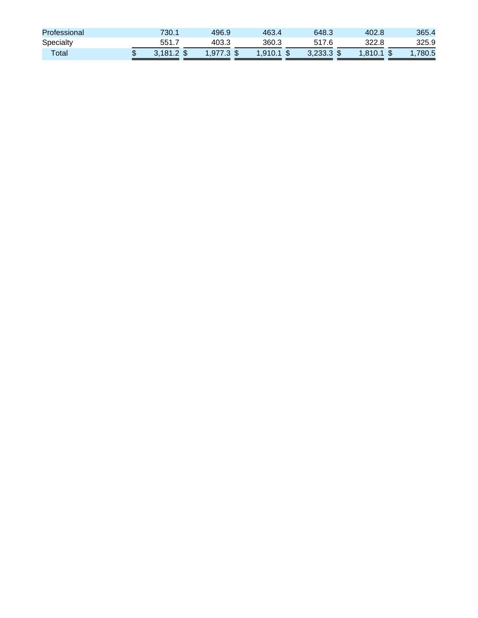| Professional | 730.1        | 496.9        | 463.4        | 648.3        | 402.8        | 365.4   |
|--------------|--------------|--------------|--------------|--------------|--------------|---------|
| Specialty    | 551.7        | 403.3        | 360.3        | 517.6        | 322.8        | 325.9   |
| Total        | $3.181.2$ \$ | $1.977.3$ \$ | $1,910.1$ \$ | $3,233.3$ \$ | $1.810.1$ \$ | 1.780.5 |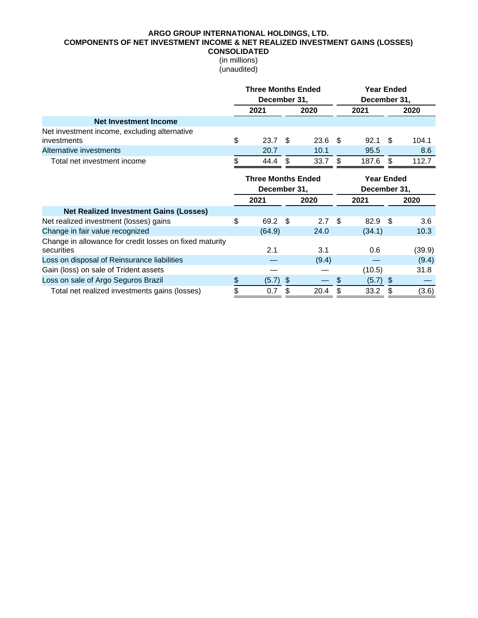#### **ARGO GROUP INTERNATIONAL HOLDINGS, LTD. COMPONENTS OF NET INVESTMENT INCOME & NET REALIZED INVESTMENT GAINS (LOSSES) CONSOLIDATED**

|                                                         | <b>Three Months Ended</b> |    | <b>Year Ended</b><br>December 31, |                   |        |              |        |  |
|---------------------------------------------------------|---------------------------|----|-----------------------------------|-------------------|--------|--------------|--------|--|
|                                                         | December 31,              |    |                                   |                   |        |              |        |  |
|                                                         | 2021                      |    | 2020                              |                   | 2021   |              | 2020   |  |
| <b>Net Investment Income</b>                            |                           |    |                                   |                   |        |              |        |  |
| Net investment income, excluding alternative            |                           |    |                                   |                   |        |              |        |  |
| investments                                             | \$<br>23.7 <sup>5</sup>   |    | $23.6$ \$                         |                   | 92.1   | - \$         | 104.1  |  |
| Alternative investments                                 | 20.7                      |    | 10.1                              |                   | 95.5   |              | 8.6    |  |
| Total net investment income                             | \$<br>44.4                | \$ | 33.7                              | \$                | 187.6  | \$           | 112.7  |  |
|                                                         | <b>Three Months Ended</b> |    |                                   | <b>Year Ended</b> |        |              |        |  |
|                                                         | December 31,              |    |                                   |                   |        | December 31, |        |  |
|                                                         | 2021                      |    | 2020                              |                   | 2021   |              | 2020   |  |
| <b>Net Realized Investment Gains (Losses)</b>           |                           |    |                                   |                   |        |              |        |  |
| Net realized investment (losses) gains                  | \$<br>69.2                | \$ | 2.7                               | \$                | 82.9   | -\$          | 3.6    |  |
| Change in fair value recognized                         | (64.9)                    |    | 24.0                              |                   | (34.1) |              | 10.3   |  |
| Change in allowance for credit losses on fixed maturity |                           |    |                                   |                   |        |              |        |  |
| securities                                              | 2.1                       |    | 3.1                               |                   | 0.6    |              | (39.9) |  |
| Loss on disposal of Reinsurance liabilities             |                           |    | (9.4)                             |                   |        |              | (9.4)  |  |
| Gain (loss) on sale of Trident assets                   |                           |    |                                   |                   | (10.5) |              | 31.8   |  |
| Loss on sale of Argo Seguros Brazil                     | \$<br>$(5.7)$ \$          |    |                                   | \$                | (5.7)  | \$           |        |  |
| Total net realized investments gains (losses)           | \$<br>0.7                 | \$ | 20.4                              | \$                | 33.2   | \$           | (3.6)  |  |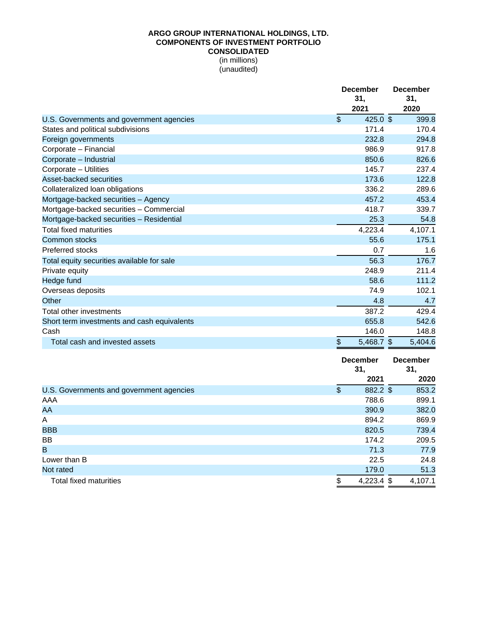## **ARGO GROUP INTERNATIONAL HOLDINGS, LTD. COMPONENTS OF INVESTMENT PORTFOLIO CONSOLIDATED**

|                                             | <b>December</b><br>31,<br>2021 | <b>December</b><br>31,<br>2020 |
|---------------------------------------------|--------------------------------|--------------------------------|
| U.S. Governments and government agencies    | $\mathfrak{L}$<br>425.0 \$     | 399.8                          |
| States and political subdivisions           | 171.4                          | 170.4                          |
| Foreign governments                         | 232.8                          | 294.8                          |
| Corporate - Financial                       | 986.9                          | 917.8                          |
| Corporate - Industrial                      | 850.6                          | 826.6                          |
| Corporate - Utilities                       | 145.7                          | 237.4                          |
| Asset-backed securities                     | 173.6                          | 122.8                          |
| Collateralized loan obligations             | 336.2                          | 289.6                          |
| Mortgage-backed securities - Agency         | 457.2                          | 453.4                          |
| Mortgage-backed securities - Commercial     | 418.7                          | 339.7                          |
| Mortgage-backed securities - Residential    | 25.3                           | 54.8                           |
| Total fixed maturities                      | 4,223.4                        | 4,107.1                        |
| Common stocks                               | 55.6                           | 175.1                          |
| Preferred stocks                            | 0.7                            | 1.6                            |
| Total equity securities available for sale  | 56.3                           | 176.7                          |
| Private equity                              | 248.9                          | 211.4                          |
| Hedge fund                                  | 58.6                           | 111.2                          |
| Overseas deposits                           | 74.9                           | 102.1                          |
| Other                                       | 4.8                            | 4.7                            |
| Total other investments                     | 387.2                          | 429.4                          |
| Short term investments and cash equivalents | 655.8                          | 542.6                          |
| Cash                                        | 146.0                          | 148.8                          |
| Total cash and invested assets              | \$<br>5,468.7 \$               | 5,404.6                        |

|                                          | <b>December</b><br>31,            | <b>December</b><br>31, |  |
|------------------------------------------|-----------------------------------|------------------------|--|
|                                          | 2021                              | 2020                   |  |
| U.S. Governments and government agencies | $\boldsymbol{\theta}$<br>882.2 \$ | 853.2                  |  |
| AAA                                      | 788.6                             | 899.1                  |  |
| AA                                       | 390.9                             | 382.0                  |  |
| A                                        | 894.2                             | 869.9                  |  |
| <b>BBB</b>                               | 820.5                             | 739.4                  |  |
| <b>BB</b>                                | 174.2                             | 209.5                  |  |
| B                                        | 71.3                              | 77.9                   |  |
| Lower than B                             | 22.5                              | 24.8                   |  |
| Not rated                                | 179.0                             | 51.3                   |  |
| <b>Total fixed maturities</b>            | $4,223.4$ \$<br>\$                | 4,107.1                |  |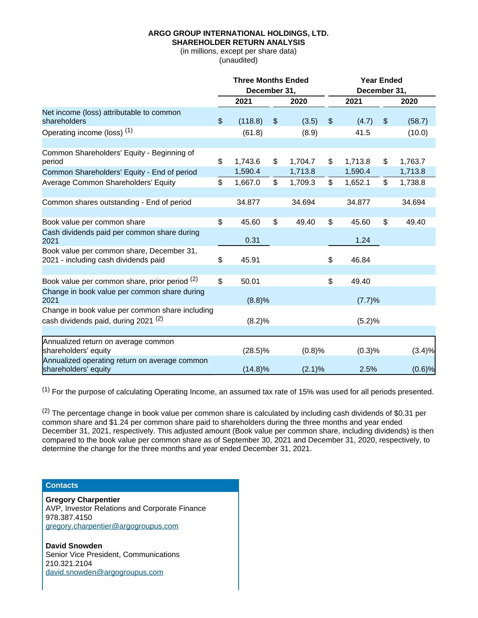## **SHAREHOLDER RETURN ANALYSIS**

(in millions, except per share data) (unaudited)

|                                                                                   | <b>Three Months Ended</b> |               |               | <b>Year Ended</b> |                |         |
|-----------------------------------------------------------------------------------|---------------------------|---------------|---------------|-------------------|----------------|---------|
|                                                                                   | December 31,              |               |               | December 31,      |                |         |
|                                                                                   | 2021                      | 2020          |               | 2021              |                | 2020    |
| Net income (loss) attributable to common<br>shareholders                          | \$<br>(118.8)             | \$<br>(3.5)   | $\frac{1}{2}$ | (4.7)             | $\frac{1}{2}$  | (58.7)  |
| Operating income (loss) <sup>(1)</sup>                                            | (61.8)                    | (8.9)         |               | 41.5              |                | (10.0)  |
|                                                                                   |                           |               |               |                   |                |         |
| Common Shareholders' Equity - Beginning of<br>period                              | \$<br>1,743.6             | \$<br>1,704.7 | \$            | 1,713.8           | \$             | 1,763.7 |
| Common Shareholders' Equity - End of period                                       | 1,590.4                   | 1,713.8       |               | 1,590.4           |                | 1,713.8 |
| Average Common Shareholders' Equity                                               | \$<br>1,667.0             | \$<br>1,709.3 | $\frac{1}{2}$ | 1,652.1           | $\mathfrak{L}$ | 1,738.8 |
| Common shares outstanding - End of period                                         | 34.877                    | 34.694        |               | 34.877            |                | 34.694  |
|                                                                                   |                           |               |               |                   |                |         |
| Book value per common share                                                       | \$<br>45.60               | \$<br>49.40   | \$            | 45.60             | \$             | 49.40   |
| Cash dividends paid per common share during<br>2021                               | 0.31                      |               |               | 1.24              |                |         |
| Book value per common share, December 31,<br>2021 - including cash dividends paid | \$<br>45.91               |               | \$            | 46.84             |                |         |
|                                                                                   |                           |               |               |                   |                |         |
| Book value per common share, prior period (2)                                     | \$<br>50.01               |               | \$            | 49.40             |                |         |
| Change in book value per common share during<br>2021                              | (8.8)%                    |               |               | (7.7)%            |                |         |
| Change in book value per common share including                                   |                           |               |               |                   |                |         |
| cash dividends paid, during 2021 <sup>(2)</sup>                                   | (8.2)%                    |               |               | (5.2)%            |                |         |
| Annualized return on average common                                               |                           |               |               |                   |                |         |
| shareholders' equity                                                              | $(28.5)\%$                | (0.8)%        |               | (0.3)%            |                | (3.4)%  |
| Annualized operating return on average common<br>shareholders' equity             | $(14.8)\%$                | $(2.1)\%$     |               | 2.5%              |                | (0.6)%  |

 $(1)$  For the purpose of calculating Operating Income, an assumed tax rate of 15% was used for all periods presented.

 $(2)$  The percentage change in book value per common share is calculated by including cash dividends of \$0.31 per common share and \$1.24 per common share paid to shareholders during the three months and year ended December 31, 2021, respectively. This adjusted amount (Book value per common share, including dividends) is then compared to the book value per common share as of September 30, 2021 and December 31, 2020, respectively, to determine the change for the three months and year ended December 31, 2021.

## **Contacts**

**Gregory Charpentier**  AVP, Investor Relations and Corporate Finance 978.387.4150 gregory.charpentier@argogroupus.com

**David Snowden**  Senior Vice President, Communications 210.321.2104 david.snowden@argogroupus.com